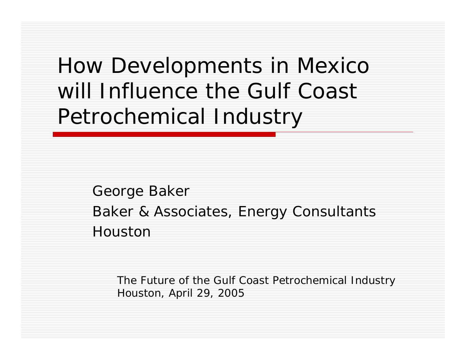How Developments in Mexico will Influence the Gulf Coast Petrochemical Industry

> George Baker Baker & Associates, Energy Consultants Houston

The Future of the Gulf Coast Petrochemical Industry Houston, April 29, 2005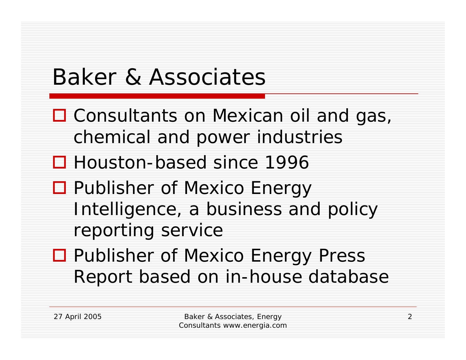# Baker & Associates

- □ Consultants on Mexican oil and gas, chemical and power industries
- Houston-based since 1996
- □ Publisher of Mexico Energy Intelligence, a business and policy reporting service
- □ Publisher of Mexico Energy Press Report based on in-house database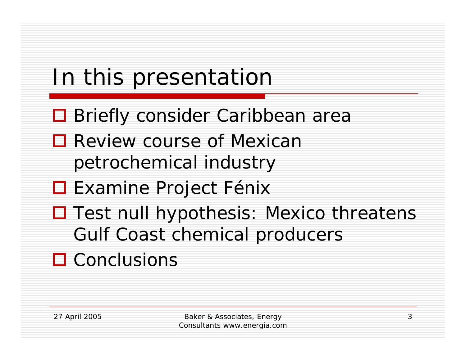# In this presentation

- **□ Briefly consider Caribbean area**
- **□** Review course of Mexican petrochemical industry
- **□ Examine Project Fénix**
- □ Test null hypothesis: Mexico threatens Gulf Coast chemical producers
- **□ Conclusions**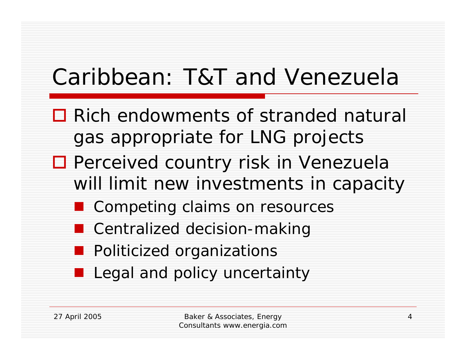# Caribbean: T&T and Venezuela

- **□** Rich endowments of stranded natural gas appropriate for LNG projects
- □ Perceived country risk in Venezuela will limit new investments in capacity
	- Competing claims on resources
	- Centralized decision-making
	- **Politicized organizations**
	- **Legal and policy uncertainty**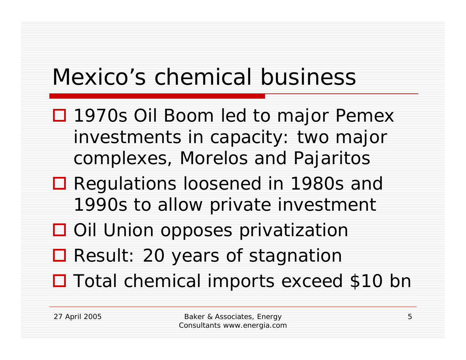## Mexico's chemical business

- □ 1970s Oil Boom led to major Pemex investments in capacity: two major complexes, Morelos and Pajaritos
- Regulations loosened in 1980s and 1990s to allow private investment
- **□** Oil Union opposes privatization
- Result: 20 years of stagnation
- □ Total chemical imports exceed \$10 bn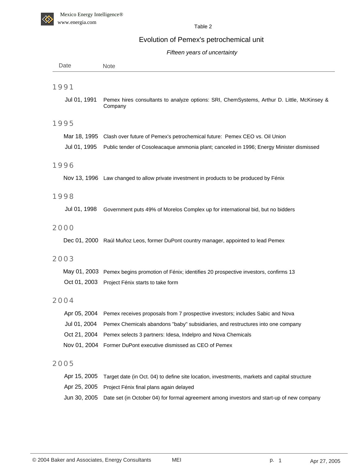

Table 2

#### Evolution of Pemex's petrochemical unit

#### *Fifteen years of uncertainty*

| Date         | Note                                                                                                  |
|--------------|-------------------------------------------------------------------------------------------------------|
|              |                                                                                                       |
| 1991         |                                                                                                       |
| Jul 01, 1991 | Pemex hires consultants to analyze options: SRI, ChemSystems, Arthur D. Little, McKinsey &<br>Company |
| 1995         |                                                                                                       |
|              | Mar 18, 1995 Clash over future of Pemex's petrochemical future: Pemex CEO vs. Oil Union               |
| Jul 01, 1995 | Public tender of Cosoleacaque ammonia plant; canceled in 1996; Energy Minister dismissed              |
| 1996         |                                                                                                       |
|              | Nov 13, 1996 Law changed to allow private investment in products to be produced by Fénix              |
| 1998         |                                                                                                       |
| Jul 01, 1998 | Government puts 49% of Morelos Complex up for international bid, but no bidders                       |
| 2000         |                                                                                                       |
|              | Dec 01, 2000 Raúl Muñoz Leos, former DuPont country manager, appointed to lead Pemex                  |
| 2003         |                                                                                                       |
|              | May 01, 2003 Pemex begins promotion of Fénix; identifies 20 prospective investors, confirms 13        |
|              | Oct 01, 2003 Project Fénix starts to take form                                                        |
| 2004         |                                                                                                       |
|              | Apr 05, 2004 Pemex receives proposals from 7 prospective investors; includes Sabic and Nova           |
| Jul 01, 2004 | Pemex Chemicals abandons "baby" subsidiaries, and restructures into one company                       |
| Oct 21, 2004 | Pemex selects 3 partners: Idesa, Indelpro and Nova Chemicals                                          |
|              | Nov 01, 2004 Former DuPont executive dismissed as CEO of Pemex                                        |
| 2005         |                                                                                                       |
| Apr 15, 2005 | Target date (in Oct. 04) to define site location, investments, markets and capital structure          |
|              | Apr 25, 2005 Project Fénix final plans again delayed                                                  |
| Jun 30, 2005 | Date set (in October 04) for formal agreement among investors and start-up of new company             |
|              |                                                                                                       |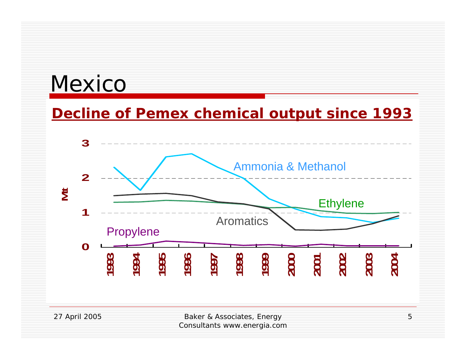### Mexico

#### **Decline of Pemex chemical output since 1993**



Consultants www.energia.com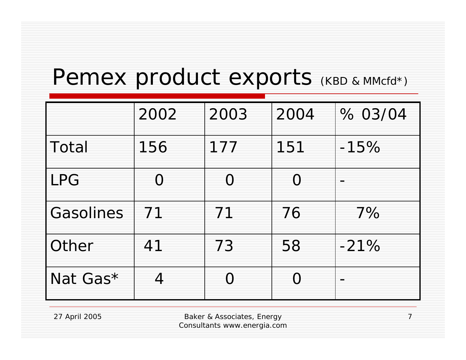### Pemex product exports (KBD & MMcfd\*)

|            | 2002 | 2003      | 2004 | % 03/04 |
|------------|------|-----------|------|---------|
| Total      | 156  | 177       | 151  | $-15%$  |
| <b>LPG</b> | O    | $\bigcap$ | ∩    |         |
| Gasolines  | 71   | 71        | 76   | 7%      |
| Other      | 41   | 73        | 58   | $-21%$  |
| Nat Gas*   | 4    |           | C    |         |

27 April 2005 Baker & Associates, Energy Consultants www.energia.com

7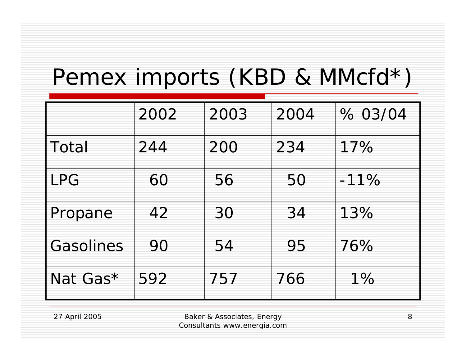### Pemex imports (KBD & MMcfd\*)

|           | 2002 | 2003 | 2004 | % 03/04 |
|-----------|------|------|------|---------|
| Total     | 244  | 200  | 234  | 17%     |
| LPG       | 60   | 56   | 50   | $-11%$  |
| Propane   | 42   | 30   | 34   | 13%     |
| Gasolines | 90   | 54   | 95   | 76%     |
| Nat Gas*  | 592  | 757  | 766  | $1\%$   |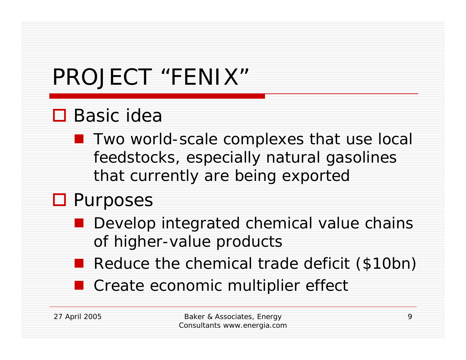# PROJECT "FENIX"

### **□** Basic idea

**T** Two world-scale complexes that use local feedstocks, especially natural gasolines that currently are being exported

### **O** Purposes

- **Develop integrated chemical value chains** of higher-value products
- Reduce the chemical trade deficit (\$10bn)
- **Create economic multiplier effect**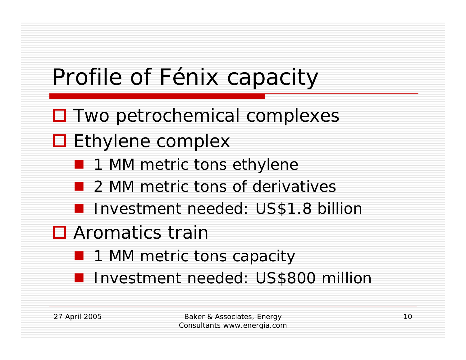# Profile of Fénix capacity

- □ Two petrochemical complexes
- □ Ethylene complex
	- 1 MM metric tons ethylene
	- 2 MM metric tons of derivatives
	- **I** Investment needed: US\$1.8 billion
- **□** Aromatics train
	- 1 MM metric tons capacity
	- **I** Investment needed: US\$800 million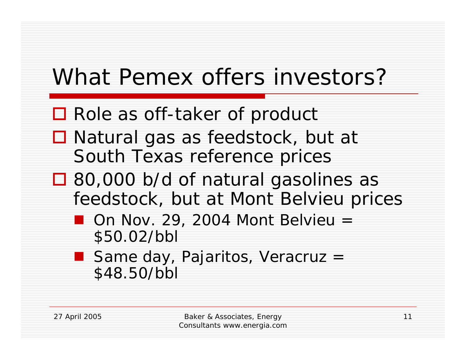# What Pemex offers investors?

- Role as off-taker of product
- Natural gas as feedstock, but at South Texas reference prices
- □ 80,000 b/d of natural gasolines as feedstock, but at Mont Belvieu prices
	- $\blacksquare$  On Nov. 29, 2004 Mont Belvieu = \$50.02/bbl
	- Same day, Pajaritos, Veracruz = \$48.50/bbl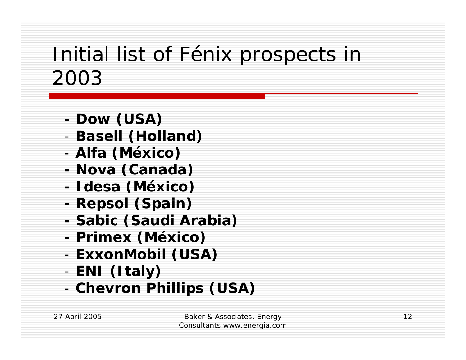### Initial list of Fénix prospects in 2003

- **- Dow (USA)**
- -**Basell (Holland)**
- -**Alfa (México)**
- **- Nova (Canada)**
- **- Idesa (México)**
- **- Repsol (Spain)**
- **- Sabic (Saudi Arabia)**
- **- Primex (México)**
- -**ExxonMobil (USA)**
- -**ENI (Italy)**
- -**Chevron Phillips (USA)**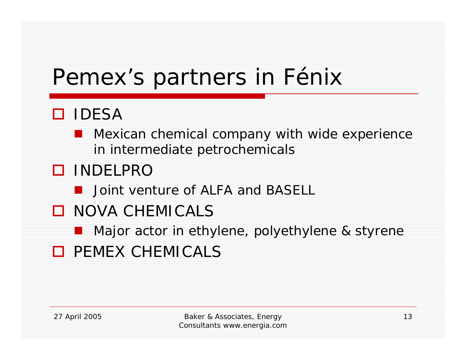### Pemex's partners in Fénix

### IDESA

**Nexican chemical company with wide experience** in intermediate petrochemicals

### INDELPRO

- **D** Joint venture of ALFA and BASELL
- **O** NOVA CHEMICALS
	- **Najor actor in ethylene, polyethylene & styrene**
- **O** PEMEX CHEMICALS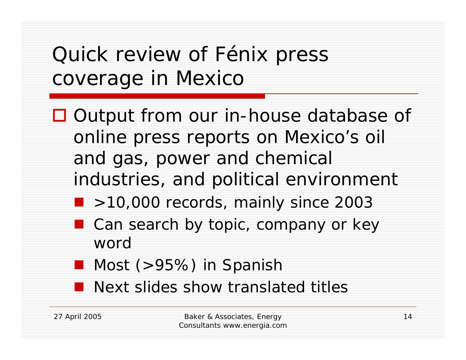### Quick review of Fénix press coverage in Mexico

- □ Output from our in-house database of online press reports on Mexico's oil and gas, power and chemical industries, and political environment
	- >10,000 records, mainly since 2003
	- Can search by topic, company or key word
	- Most (>95%) in Spanish
	- **Next slides show translated titles**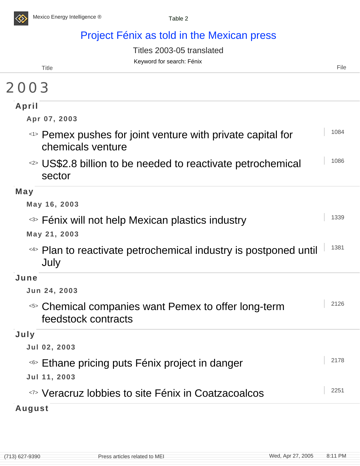

#### Project Fénix as told in the Mexican press

Titles 2003-05 translated

|       | Keyword for search: Fénix |  |
|-------|---------------------------|--|
| Title | File                      |  |

#### 2003

| April                                                                            |      |
|----------------------------------------------------------------------------------|------|
| Apr 07, 2003                                                                     |      |
| <1> Pemex pushes for joint venture with private capital for<br>chemicals venture | 1084 |
| <2> US\$2.8 billion to be needed to reactivate petrochemical<br>sector           | 1086 |
| May                                                                              |      |
| May 16, 2003                                                                     |      |
| <sup>&lt;3&gt;</sup> Fénix will not help Mexican plastics industry               | 1339 |
| May 21, 2003                                                                     |      |
| <4> Plan to reactivate petrochemical industry is postponed until<br>July         | 1381 |
| June                                                                             |      |
| Jun 24, 2003                                                                     |      |
| <5> Chemical companies want Pemex to offer long-term<br>feedstock contracts      | 2126 |
| July                                                                             |      |
| Jul 02, 2003                                                                     |      |
| <6> Ethane pricing puts Fénix project in danger                                  | 2178 |
| Jul 11, 2003                                                                     |      |
| <7> Veracruz lobbies to site Fénix in Coatzacoalcos                              | 2251 |
| المستور والمستورة والمناور                                                       |      |

#### **August**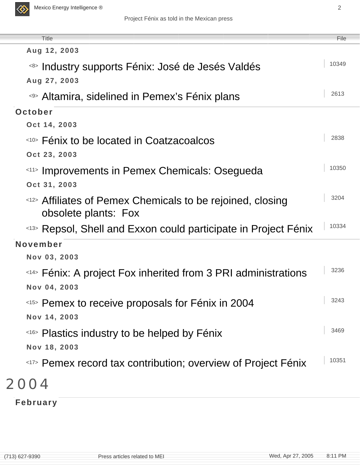

| <b>Title</b>                                                                       | File  |
|------------------------------------------------------------------------------------|-------|
| Aug 12, 2003                                                                       |       |
| <8> Industry supports Fénix: José de Jesés Valdés                                  | 10349 |
| Aug 27, 2003                                                                       |       |
| <%> Altamira, sidelined in Pemex's Fénix plans                                     | 2613  |
| October                                                                            |       |
| Oct 14, 2003                                                                       |       |
| <10> Fénix to be located in Coatzacoalcos                                          | 2838  |
| Oct 23, 2003                                                                       |       |
| <11> Improvements in Pemex Chemicals: Osegueda                                     | 10350 |
| Oct 31, 2003                                                                       |       |
| <12> Affiliates of Pemex Chemicals to be rejoined, closing<br>obsolete plants: Fox | 3204  |
| <13> Repsol, Shell and Exxon could participate in Project Fénix                    | 10334 |
| November                                                                           |       |
| Nov 03, 2003                                                                       |       |
| <14> Fénix: A project Fox inherited from 3 PRI administrations                     | 3236  |
| Nov 04, 2003                                                                       |       |
| <15> Pemex to receive proposals for Fénix in 2004                                  | 3243  |
| Nov 14, 2003                                                                       |       |
| <16> Plastics industry to be helped by Fénix                                       | 3469  |
| Nov 18, 2003                                                                       |       |
| <17> Pemex record tax contribution; overview of Project Fénix                      | 10351 |
|                                                                                    |       |

#### 2004

**February**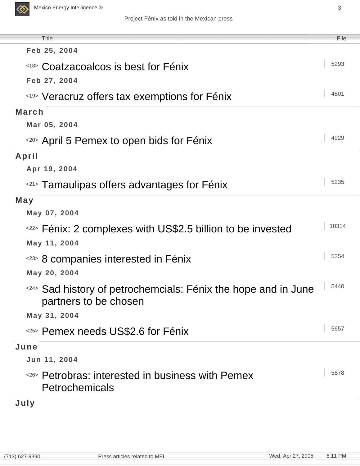

| <b>Title</b><br>Feb 25, 2004                                                            | File  |
|-----------------------------------------------------------------------------------------|-------|
| <18> Coatzacoalcos is best for Fénix                                                    | 5293  |
| Feb 27, 2004                                                                            |       |
|                                                                                         | 4801  |
| <19> Veracruz offers tax exemptions for Fénix                                           |       |
| <b>March</b>                                                                            |       |
| Mar 05, 2004                                                                            | 4929  |
| <20> April 5 Pemex to open bids for Fénix                                               |       |
| April                                                                                   |       |
| Apr 19, 2004                                                                            |       |
| <21> Tamaulipas offers advantages for Fénix                                             | 5235  |
| May                                                                                     |       |
| May 07, 2004                                                                            |       |
| <22> Fénix: 2 complexes with US\$2.5 billion to be invested                             | 10314 |
| May 11, 2004                                                                            |       |
| <23> 8 companies interested in Fénix                                                    | 5354  |
| May 20, 2004                                                                            |       |
| <24> Sad history of petrochemcials: Fénix the hope and in June<br>partners to be chosen | 5440  |
| May 31, 2004                                                                            |       |
| <25> Pemex needs US\$2.6 for Fénix                                                      | 5657  |
| June                                                                                    |       |
| Jun 11, 2004                                                                            |       |
| <26> Petrobras: interested in business with Pemex<br>Petrochemicals                     | 5878  |
| July                                                                                    |       |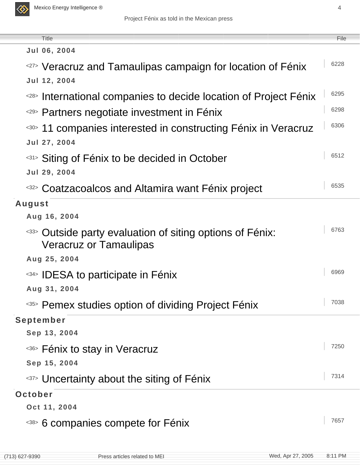

| <b>Title</b>                                                                                         | File |  |
|------------------------------------------------------------------------------------------------------|------|--|
| Jul 06, 2004                                                                                         |      |  |
| <27> Veracruz and Tamaulipas campaign for location of Fénix                                          | 6228 |  |
| Jul 12, 2004                                                                                         |      |  |
| <28> International companies to decide location of Project Fénix                                     | 6295 |  |
| <29> Partners negotiate investment in Fénix                                                          | 6298 |  |
| <30> 11 companies interested in constructing Fénix in Veracruz                                       | 6306 |  |
| Jul 27, 2004                                                                                         |      |  |
| <sup>&lt;31</sup> > Siting of Fénix to be decided in October                                         | 6512 |  |
| Jul 29, 2004                                                                                         |      |  |
| <32> Coatzacoalcos and Altamira want Fénix project                                                   | 6535 |  |
| August                                                                                               |      |  |
| Aug 16, 2004                                                                                         |      |  |
| <sup>&lt;33&gt;</sup> Outside party evaluation of siting options of Fénix:<br>Veracruz or Tamaulipas | 6763 |  |
| Aug 25, 2004                                                                                         |      |  |
| <34> IDESA to participate in Fénix                                                                   | 6969 |  |
| Aug 31, 2004                                                                                         |      |  |
| <35> Pemex studies option of dividing Project Fénix                                                  | 7038 |  |
| September                                                                                            |      |  |
| Sep 13, 2004                                                                                         |      |  |
| <36> Fénix to stay in Veracruz                                                                       | 7250 |  |
| Sep 15, 2004                                                                                         |      |  |
| <37> Uncertainty about the siting of Fénix                                                           | 7314 |  |
| October                                                                                              |      |  |
| Oct 11, 2004                                                                                         |      |  |
| <38> 6 companies compete for Fénix                                                                   | 7657 |  |
|                                                                                                      |      |  |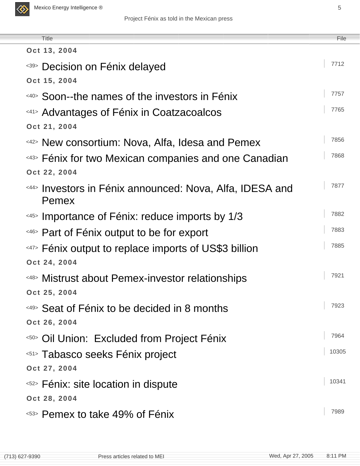

| <b>Title</b>                                             | File  |
|----------------------------------------------------------|-------|
| Oct 13, 2004                                             |       |
| <39> Decision on Fénix delayed                           | 7712  |
| Oct 15, 2004                                             |       |
| <40> Soon--the names of the investors in Fénix           | 7757  |
| <41> Advantages of Fénix in Coatzacoalcos                | 7765  |
| Oct 21, 2004                                             |       |
| <42> New consortium: Nova, Alfa, Idesa and Pemex         | 7856  |
| <43> Fénix for two Mexican companies and one Canadian    | 7868  |
| Oct 22, 2004                                             |       |
| <44> Investors in Fénix announced: Nova, Alfa, IDESA and | 7877  |
| Pemex                                                    | 7882  |
| <45> Importance of Fénix: reduce imports by 1/3          |       |
| <46> Part of Fénix output to be for export               | 7883  |
| <47> Fénix output to replace imports of US\$3 billion    | 7885  |
| Oct 24, 2004                                             |       |
| <48> Mistrust about Pemex-investor relationships         | 7921  |
| Oct 25, 2004                                             | 7923  |
| <49> Seat of Fénix to be decided in 8 months             |       |
| Oct 26, 2004                                             | 7964  |
| <50> Oil Union: Excluded from Project Fénix              | 10305 |
| <51> Tabasco seeks Fénix project                         |       |
| Oct 27, 2004                                             | 10341 |
| < <sup>52</sup> > Fénix: site location in dispute        |       |
| Oct 28, 2004                                             | 7989  |
| <53> Pemex to take 49% of Fénix                          |       |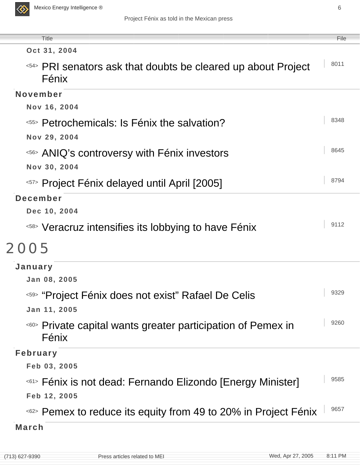

| <b>Title</b>                                                                     | File |
|----------------------------------------------------------------------------------|------|
| Oct 31, 2004                                                                     |      |
| <54> PRI senators ask that doubts be cleared up about Project<br>Fénix           | 8011 |
| November                                                                         |      |
| Nov 16, 2004                                                                     |      |
| < <sup>55</sup> > Petrochemicals: Is Fénix the salvation?                        | 8348 |
| Nov 29, 2004                                                                     |      |
| <56> ANIQ's controversy with Fénix investors                                     | 8645 |
| Nov 30, 2004                                                                     |      |
| <57> Project Fénix delayed until April [2005]                                    | 8794 |
| December                                                                         |      |
| Dec 10, 2004                                                                     |      |
| < <sup>58&gt;</sup> Veracruz intensifies its lobbying to have Fénix              | 9112 |
| 2005                                                                             |      |
| January                                                                          |      |
| Jan 08, 2005                                                                     |      |
| <59> "Project Fénix does not exist" Rafael De Celis                              | 9329 |
| Jan 11, 2005                                                                     |      |
| Private capital wants greater participation of Pemex in<br><60>                  | 9260 |
| Fénix                                                                            |      |
| <b>February</b>                                                                  |      |
| Feb 03, 2005                                                                     |      |
| <sup>&lt;61&gt;</sup> Fénix is not dead: Fernando Elizondo [Energy Minister]     | 9585 |
| Feb 12, 2005                                                                     |      |
| <sup>&lt;62&gt;</sup> Pemex to reduce its equity from 49 to 20% in Project Fénix | 9657 |
| <b>March</b>                                                                     |      |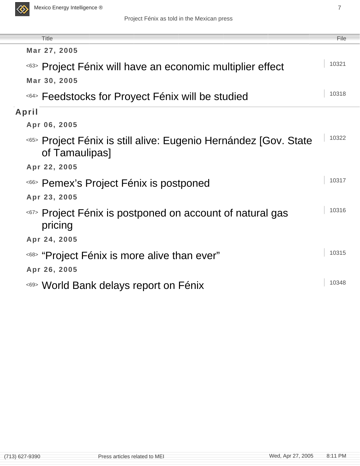

| <b>Title</b>                                                                       | File  |
|------------------------------------------------------------------------------------|-------|
| Mar 27, 2005                                                                       |       |
| <sup>&lt;63&gt;</sup> Project Fénix will have an economic multiplier effect        | 10321 |
| Mar 30, 2005                                                                       |       |
| <64> Feedstocks for Proyect Fénix will be studied                                  | 10318 |
| April                                                                              |       |
| Apr 06, 2005                                                                       |       |
| <65> Project Fénix is still alive: Eugenio Hernández [Gov. State<br>of Tamaulipas] | 10322 |
| Apr 22, 2005                                                                       |       |
| <66> Pemex's Project Fénix is postponed                                            | 10317 |
| Apr 23, 2005                                                                       |       |
| <67> Project Fénix is postponed on account of natural gas<br>pricing               | 10316 |
| Apr 24, 2005                                                                       |       |
| <68> "Project Fénix is more alive than ever"                                       | 10315 |
| Apr 26, 2005                                                                       |       |
| <69> World Bank delays report on Fénix                                             | 10348 |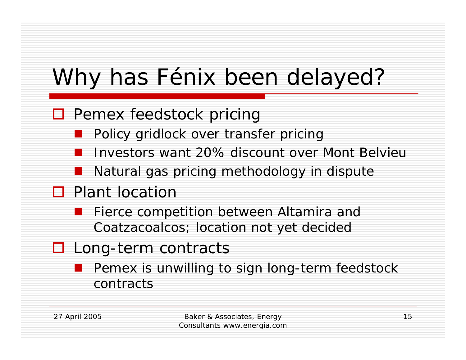# Why has Fénix been delayed?

#### □ Pemex feedstock pricing

- Policy gridlock over transfer pricing
- Investors want 20% discount over Mont Belvieu
- Natural gas pricing methodology in dispute

#### **D** Plant location

- Fierce competition between Altamira and Coatzacoalcos; location not yet decided
- □ Long-term contracts
	- **Pemex is unwilling to sign long-term feedstock** contracts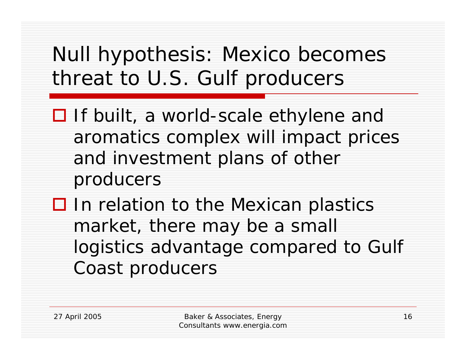### Null hypothesis: Mexico becomes threat to U.S. Gulf producers

- **□** If built, a world-scale ethylene and aromatics complex will impact prices and investment plans of other producers
- $\square$  In relation to the Mexican plastics market, there may be a small logistics advantage compared to Gulf Coast producers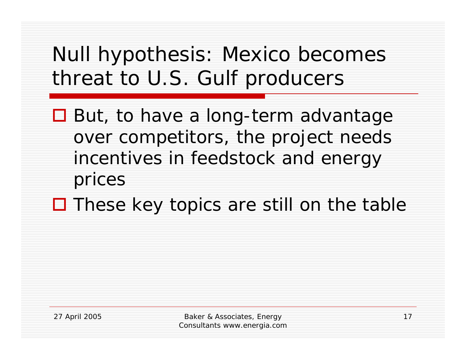### Null hypothesis: Mexico becomes threat to U.S. Gulf producers

- **□** But, to have a long-term advantage over competitors, the project needs incentives in feedstock and energy prices
- □ These key topics are still on the table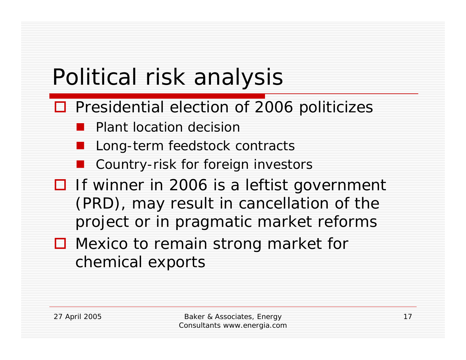# Political risk analysis

- **□ Presidential election of 2006 politicizes** 
	- Plant location decision
	- Long-term feedstock contracts
	- Country-risk for foreign investors
- **□** If winner in 2006 is a leftist government (PRD), may result in cancellation of the project or in pragmatic market reforms
- Mexico to remain strong market for chemical exports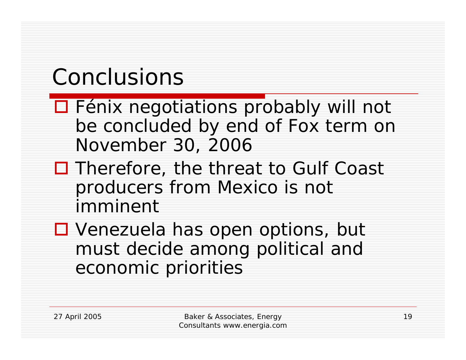# Conclusions

- □ Fénix negotiations probably will not be concluded by end of Fox term on November 30, 2006
- □ Therefore, the threat to Gulf Coast producers from Mexico is not imminent
- Venezuela has open options, but must decide among political and economic priorities